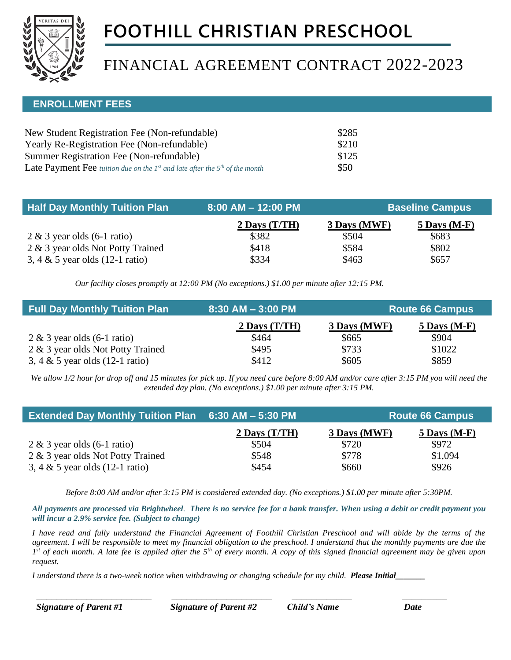

# **FOOTHILL CHRISTIAN PRESCHOOL**

# FINANCIAL AGREEMENT CONTRACT 2022-2023

### **ENROLLMENT FEES**

| New Student Registration Fee (Non-refundable)                                          | \$285 |
|----------------------------------------------------------------------------------------|-------|
| Yearly Re-Registration Fee (Non-refundable)                                            | \$210 |
| Summer Registration Fee (Non-refundable)                                               | \$125 |
| <b>Late Payment Fee</b> tuition due on the $Ist$ and late after the $5th$ of the month | \$50  |

| <b>Half Day Monthly Tuition Plan</b> | $8:00$ AM $-$ 12:00 PM | <b>Baseline Campus</b> |                |
|--------------------------------------|------------------------|------------------------|----------------|
|                                      | $2$ Days (T/TH)        | 3 Days (MWF)           | $5$ Days (M-F) |
| $2 \& 3$ year olds (6-1 ratio)       | \$382                  | \$504                  | \$683          |
| 2 & 3 year olds Not Potty Trained    | \$418                  | \$584                  | \$802          |
| 3, 4 $\&$ 5 year olds (12-1 ratio)   | \$334                  | \$463                  | \$657          |

*Our facility closes promptly at 12:00 PM (No exceptions.) \$1.00 per minute after 12:15 PM. Our facility closes promptly at 12:30 PM (No exceptions.) \$1.00 per minute after 12:30 PM.*

| <b>Full Day Monthly Tuition Plan</b>      | $8:30$ AM $-3:00$ PM | <b>Route 66 Campus</b> |                |
|-------------------------------------------|----------------------|------------------------|----------------|
|                                           | 2 Days $(T/TH)$      | 3 Days (MWF)           | $5$ Days (M-F) |
| $2 \& 3$ year olds (6-1 ratio)            | \$464                | \$665                  | \$904          |
| 2 & 3 year olds Not Potty Trained         | \$495                | \$733                  | \$1022         |
| 3, 4 & 5 year olds $(12-1 \text{ ratio})$ | \$412                | \$605                  | \$859          |

*We allow 1/2 hour for drop off and 15 minutes for pick up. If you need care before 8:00 AM and/or care after 3:15 PM you will need the extended day plan. (No exceptions.) \$1.00 per minute after 3:15 PM.*

| <b>Extended Day Monthly Tuition Plan 6:30 AM - 5:30 PM</b> |                 | <b>Route 66 Campus</b> |                |
|------------------------------------------------------------|-----------------|------------------------|----------------|
|                                                            | 2 Days $(T/TH)$ | 3 Days (MWF)           | $5$ Days (M-F) |
| $2 \& 3$ year olds (6-1 ratio)                             | \$504           | \$720                  | \$972          |
| 2 & 3 year olds Not Potty Trained                          | \$548           | \$778                  | \$1,094        |
| 3, 4 $\&$ 5 year olds (12-1 ratio)                         | \$454           | \$660                  | \$926          |

*Before 8:00 AM and/or after 3:15 PM is considered extended day. (No exceptions.) \$1.00 per minute after 5:30PM.*

*All payments are processed via Brightwheel. There is no service fee for a bank transfer. When using a debit or credit payment you will incur a 2.9% service fee. (Subject to change)*

*I have read and fully understand the Financial Agreement of Foothill Christian Preschool and will abide by the terms of the agreement. I will be responsible to meet my financial obligation to the preschool. I understand that the monthly payments are due the 1 st of each month. A late fee is applied after the 5th of every month. A copy of this signed financial agreement may be given upon request.*

*I understand there is a two-week notice when withdrawing or changing schedule for my child. Please Initial\_\_\_\_\_\_\_*

\_\_\_\_\_\_\_\_\_\_\_\_\_\_\_\_\_\_\_\_\_\_\_ \_\_\_\_\_\_\_\_\_\_\_\_\_\_\_\_\_\_\_\_ \_\_\_\_\_\_\_\_\_\_\_\_ \_\_\_\_\_\_\_\_\_

*Signature of Parent #1 Signature of Parent #2 Child's Name Date*